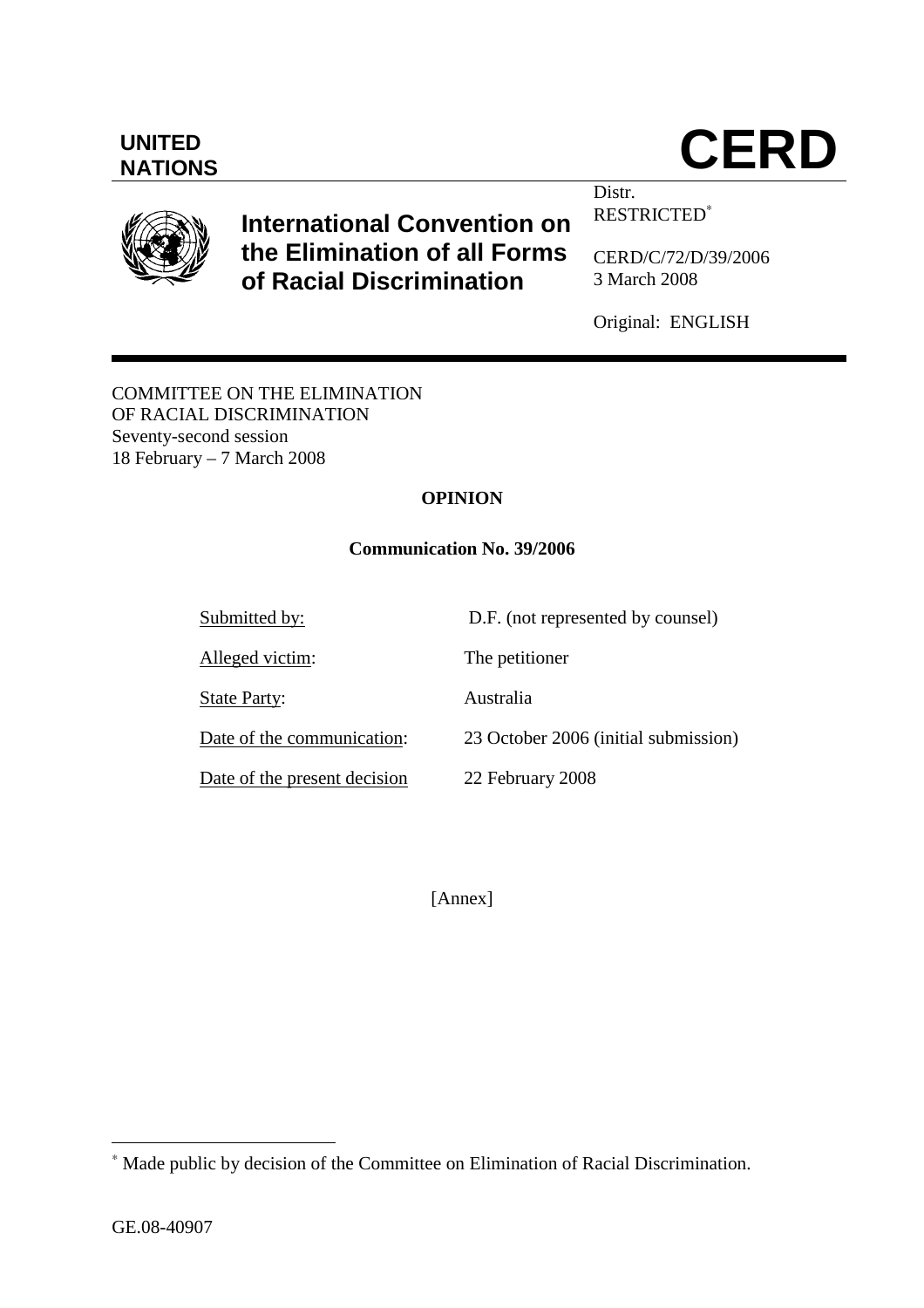$\overline{a}$ 

## **UNITED**

### **International Convention on the Elimination of all Forms of Racial Discrimination**

CERD/C/72/D/39/2006

RESTRICTED<sup>∗</sup>

3 March 2008

Distr.

Original: ENGLISH

COMMITTEE ON THE ELIMINATION OF RACIAL DISCRIMINATION Seventy-second session 18 February – 7 March 2008

#### **OPINION**

#### **Communication No. 39/2006**

Submitted by: D.F. (not represented by counsel) Alleged victim: The petitioner State Party: Australia Date of the communication: 23 October 2006 (initial submission) Date of the present decision 22 February 2008

[Annex]

∗ Made public by decision of the Committee on Elimination of Racial Discrimination.



# **NATIONS CERD**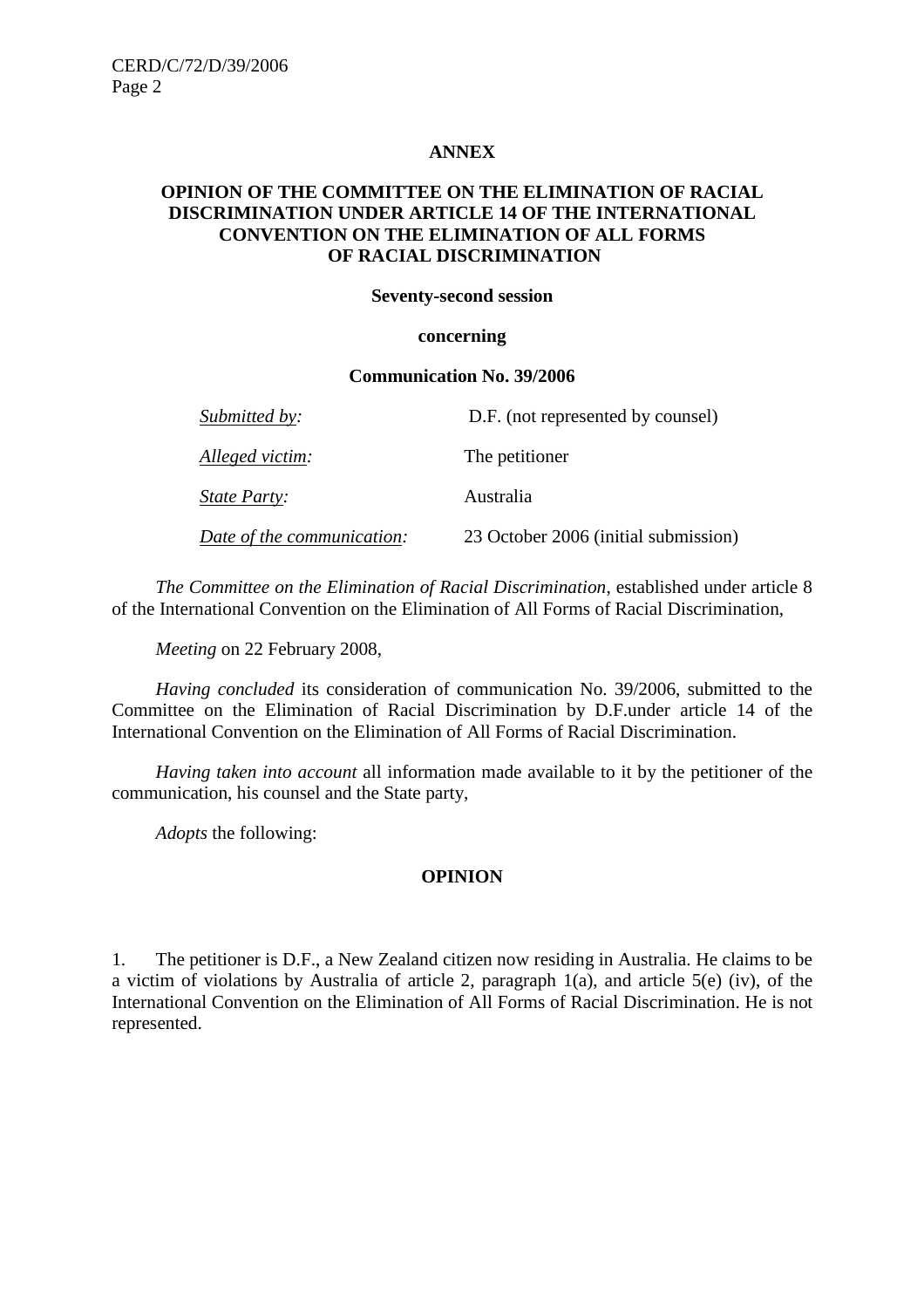#### **ANNEX**

#### **OPINION OF THE COMMITTEE ON THE ELIMINATION OF RACIAL DISCRIMINATION UNDER ARTICLE 14 OF THE INTERNATIONAL CONVENTION ON THE ELIMINATION OF ALL FORMS OF RACIAL DISCRIMINATION**

#### **Seventy-second session**

#### **concerning**

#### **Communication No. 39/2006**

| Submitted by:              | D.F. (not represented by counsel)    |
|----------------------------|--------------------------------------|
| Alleged victim:            | The petitioner                       |
| <i>State Party:</i>        | Australia                            |
| Date of the communication: | 23 October 2006 (initial submission) |

 *The Committee on the Elimination of Racial Discrimination*, established under article 8 of the International Convention on the Elimination of All Forms of Racial Discrimination,

*Meeting* on 22 February 2008,

*Having concluded* its consideration of communication No. 39/2006, submitted to the Committee on the Elimination of Racial Discrimination by D.F.under article 14 of the International Convention on the Elimination of All Forms of Racial Discrimination.

*Having taken into account* all information made available to it by the petitioner of the communication, his counsel and the State party,

*Adopts* the following:

#### **OPINION**

1. The petitioner is D.F., a New Zealand citizen now residing in Australia. He claims to be a victim of violations by Australia of article 2, paragraph 1(a), and article 5(e) (iv), of the International Convention on the Elimination of All Forms of Racial Discrimination. He is not represented.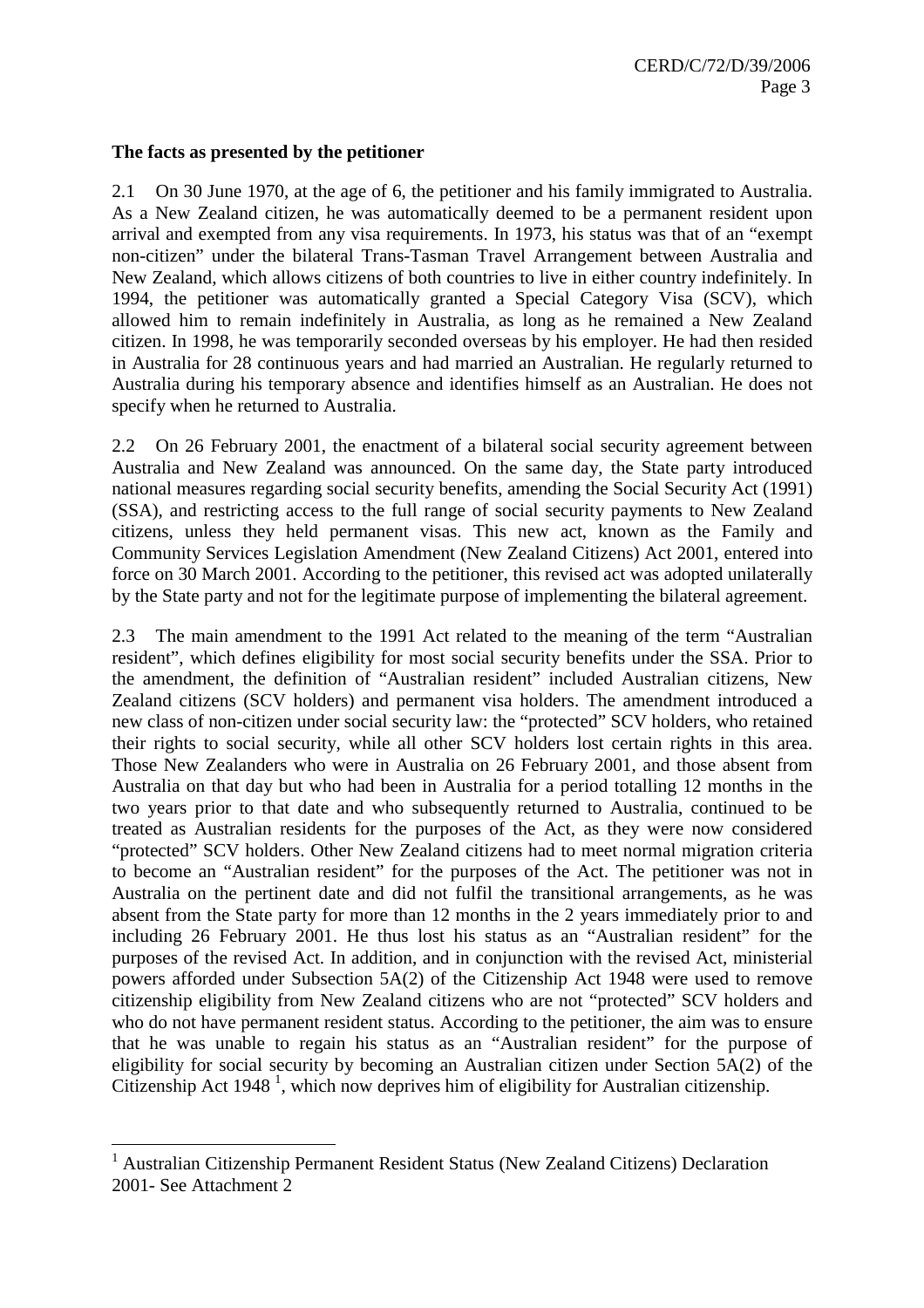#### **The facts as presented by the petitioner**

2.1 On 30 June 1970, at the age of 6, the petitioner and his family immigrated to Australia. As a New Zealand citizen, he was automatically deemed to be a permanent resident upon arrival and exempted from any visa requirements. In 1973, his status was that of an "exempt non-citizen" under the bilateral Trans-Tasman Travel Arrangement between Australia and New Zealand, which allows citizens of both countries to live in either country indefinitely. In 1994, the petitioner was automatically granted a Special Category Visa (SCV), which allowed him to remain indefinitely in Australia, as long as he remained a New Zealand citizen. In 1998, he was temporarily seconded overseas by his employer. He had then resided in Australia for 28 continuous years and had married an Australian. He regularly returned to Australia during his temporary absence and identifies himself as an Australian. He does not specify when he returned to Australia.

2.2 On 26 February 2001, the enactment of a bilateral social security agreement between Australia and New Zealand was announced. On the same day, the State party introduced national measures regarding social security benefits, amending the Social Security Act (1991) (SSA), and restricting access to the full range of social security payments to New Zealand citizens, unless they held permanent visas. This new act, known as the Family and Community Services Legislation Amendment (New Zealand Citizens) Act 2001, entered into force on 30 March 2001. According to the petitioner, this revised act was adopted unilaterally by the State party and not for the legitimate purpose of implementing the bilateral agreement.

2.3 The main amendment to the 1991 Act related to the meaning of the term "Australian resident", which defines eligibility for most social security benefits under the SSA. Prior to the amendment, the definition of "Australian resident" included Australian citizens, New Zealand citizens (SCV holders) and permanent visa holders. The amendment introduced a new class of non-citizen under social security law: the "protected" SCV holders, who retained their rights to social security, while all other SCV holders lost certain rights in this area. Those New Zealanders who were in Australia on 26 February 2001, and those absent from Australia on that day but who had been in Australia for a period totalling 12 months in the two years prior to that date and who subsequently returned to Australia, continued to be treated as Australian residents for the purposes of the Act, as they were now considered "protected" SCV holders. Other New Zealand citizens had to meet normal migration criteria to become an "Australian resident" for the purposes of the Act. The petitioner was not in Australia on the pertinent date and did not fulfil the transitional arrangements, as he was absent from the State party for more than 12 months in the 2 years immediately prior to and including 26 February 2001. He thus lost his status as an "Australian resident" for the purposes of the revised Act. In addition, and in conjunction with the revised Act, ministerial powers afforded under Subsection 5A(2) of the Citizenship Act 1948 were used to remove citizenship eligibility from New Zealand citizens who are not "protected" SCV holders and who do not have permanent resident status. According to the petitioner, the aim was to ensure that he was unable to regain his status as an "Australian resident" for the purpose of eligibility for social security by becoming an Australian citizen under Section 5A(2) of the Citizenship Act 1948<sup>1</sup>, which now deprives him of eligibility for Australian citizenship.

 $\overline{a}$ 

<sup>&</sup>lt;sup>1</sup> Australian Citizenship Permanent Resident Status (New Zealand Citizens) Declaration 2001- See Attachment 2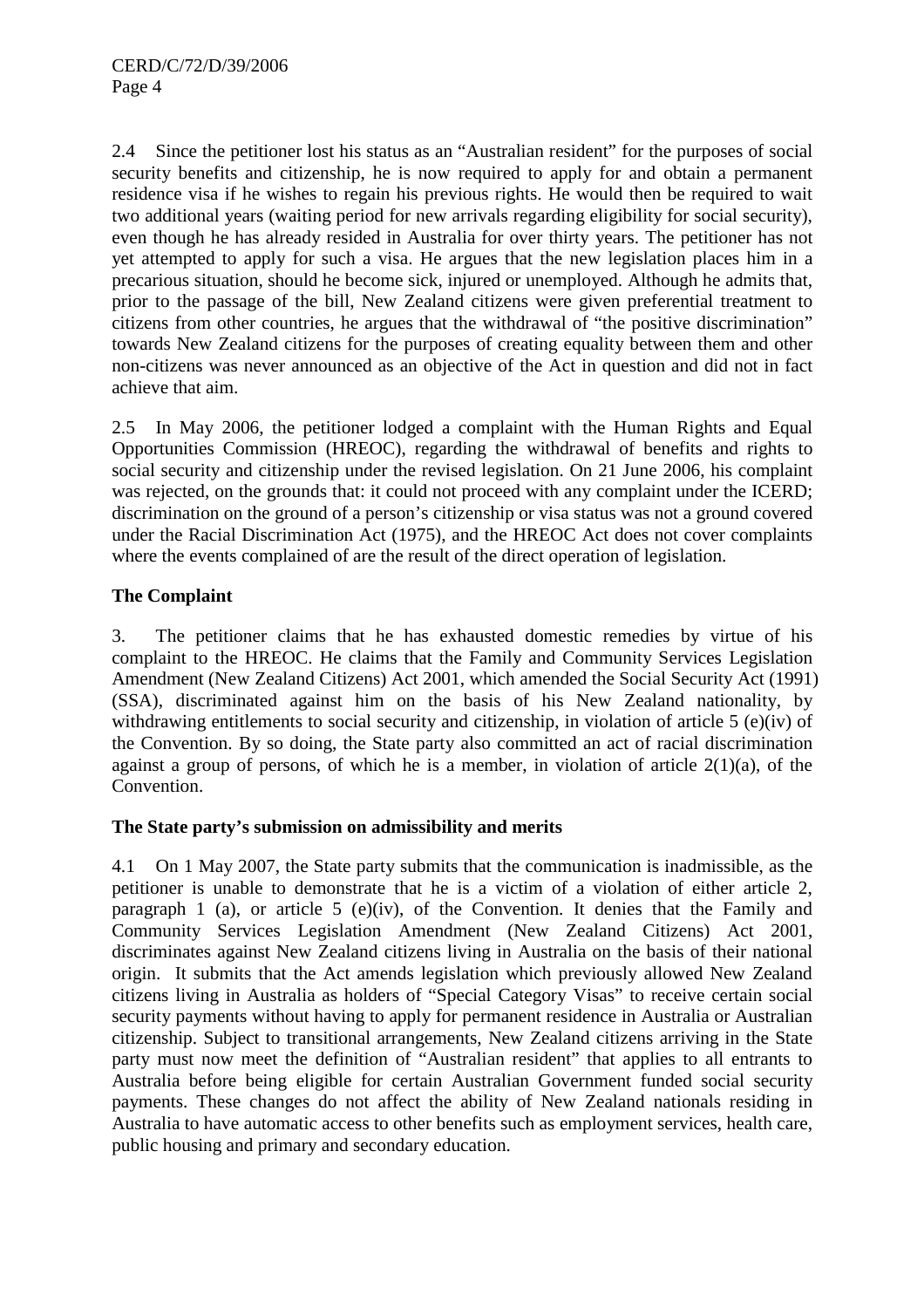2.4 Since the petitioner lost his status as an "Australian resident" for the purposes of social security benefits and citizenship, he is now required to apply for and obtain a permanent residence visa if he wishes to regain his previous rights. He would then be required to wait two additional years (waiting period for new arrivals regarding eligibility for social security), even though he has already resided in Australia for over thirty years. The petitioner has not yet attempted to apply for such a visa. He argues that the new legislation places him in a precarious situation, should he become sick, injured or unemployed. Although he admits that, prior to the passage of the bill, New Zealand citizens were given preferential treatment to citizens from other countries, he argues that the withdrawal of "the positive discrimination" towards New Zealand citizens for the purposes of creating equality between them and other non-citizens was never announced as an objective of the Act in question and did not in fact achieve that aim.

2.5 In May 2006, the petitioner lodged a complaint with the Human Rights and Equal Opportunities Commission (HREOC), regarding the withdrawal of benefits and rights to social security and citizenship under the revised legislation. On 21 June 2006, his complaint was rejected, on the grounds that: it could not proceed with any complaint under the ICERD; discrimination on the ground of a person's citizenship or visa status was not a ground covered under the Racial Discrimination Act (1975), and the HREOC Act does not cover complaints where the events complained of are the result of the direct operation of legislation.

#### **The Complaint**

3. The petitioner claims that he has exhausted domestic remedies by virtue of his complaint to the HREOC. He claims that the Family and Community Services Legislation Amendment (New Zealand Citizens) Act 2001, which amended the Social Security Act (1991) (SSA), discriminated against him on the basis of his New Zealand nationality, by withdrawing entitlements to social security and citizenship, in violation of article 5 (e)(iv) of the Convention. By so doing, the State party also committed an act of racial discrimination against a group of persons, of which he is a member, in violation of article  $2(1)(a)$ , of the Convention.

#### **The State party's submission on admissibility and merits**

4.1 On 1 May 2007, the State party submits that the communication is inadmissible, as the petitioner is unable to demonstrate that he is a victim of a violation of either article 2, paragraph 1 (a), or article 5 (e)(iv), of the Convention. It denies that the Family and Community Services Legislation Amendment (New Zealand Citizens) Act 2001, discriminates against New Zealand citizens living in Australia on the basis of their national origin. It submits that the Act amends legislation which previously allowed New Zealand citizens living in Australia as holders of "Special Category Visas" to receive certain social security payments without having to apply for permanent residence in Australia or Australian citizenship. Subject to transitional arrangements, New Zealand citizens arriving in the State party must now meet the definition of "Australian resident" that applies to all entrants to Australia before being eligible for certain Australian Government funded social security payments. These changes do not affect the ability of New Zealand nationals residing in Australia to have automatic access to other benefits such as employment services, health care, public housing and primary and secondary education.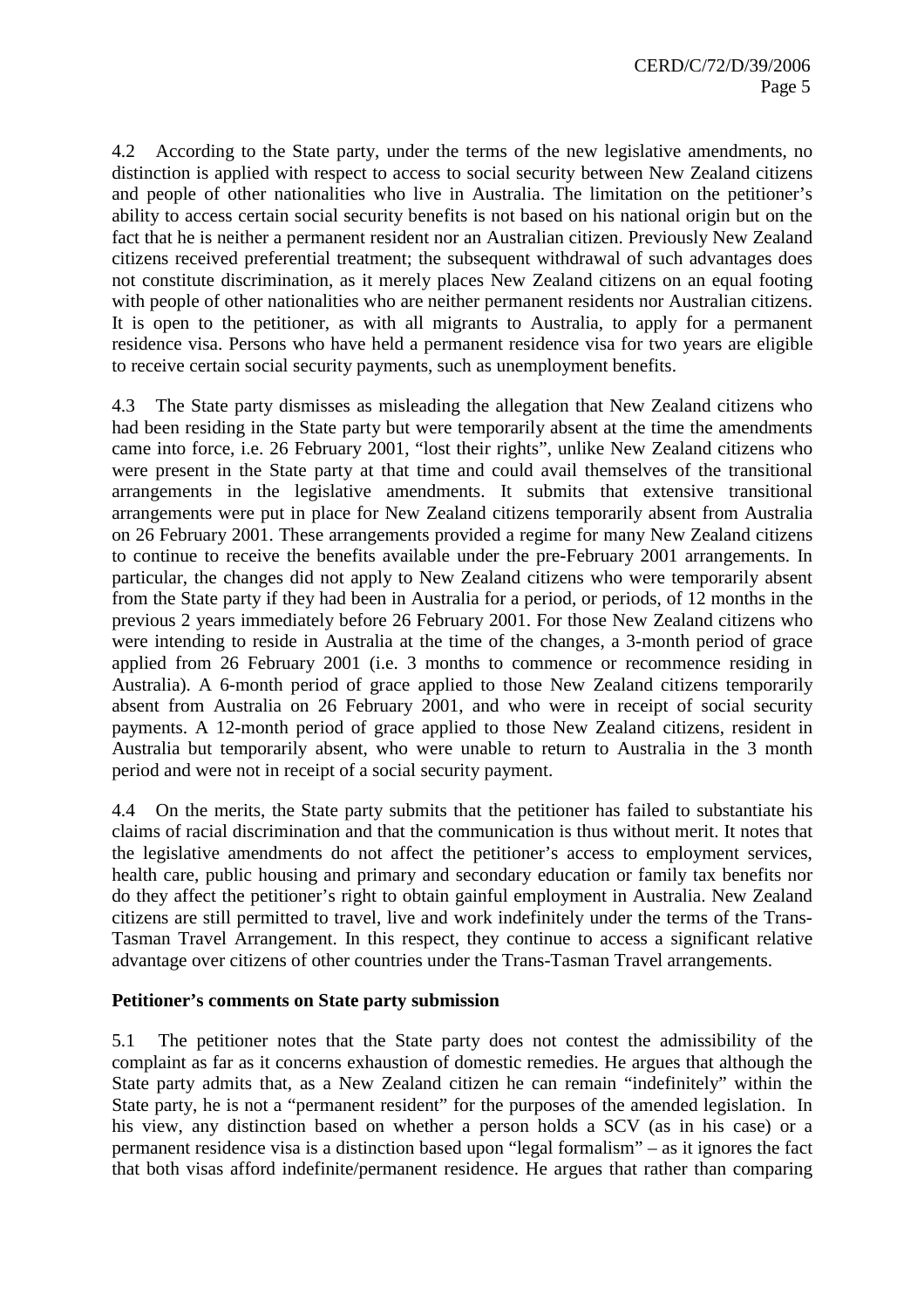4.2 According to the State party, under the terms of the new legislative amendments, no distinction is applied with respect to access to social security between New Zealand citizens and people of other nationalities who live in Australia. The limitation on the petitioner's ability to access certain social security benefits is not based on his national origin but on the fact that he is neither a permanent resident nor an Australian citizen. Previously New Zealand citizens received preferential treatment; the subsequent withdrawal of such advantages does not constitute discrimination, as it merely places New Zealand citizens on an equal footing with people of other nationalities who are neither permanent residents nor Australian citizens. It is open to the petitioner, as with all migrants to Australia, to apply for a permanent residence visa. Persons who have held a permanent residence visa for two years are eligible to receive certain social security payments, such as unemployment benefits.

4.3 The State party dismisses as misleading the allegation that New Zealand citizens who had been residing in the State party but were temporarily absent at the time the amendments came into force, i.e. 26 February 2001, "lost their rights", unlike New Zealand citizens who were present in the State party at that time and could avail themselves of the transitional arrangements in the legislative amendments. It submits that extensive transitional arrangements were put in place for New Zealand citizens temporarily absent from Australia on 26 February 2001. These arrangements provided a regime for many New Zealand citizens to continue to receive the benefits available under the pre-February 2001 arrangements. In particular, the changes did not apply to New Zealand citizens who were temporarily absent from the State party if they had been in Australia for a period, or periods, of 12 months in the previous 2 years immediately before 26 February 2001. For those New Zealand citizens who were intending to reside in Australia at the time of the changes, a 3-month period of grace applied from 26 February 2001 (i.e. 3 months to commence or recommence residing in Australia). A 6-month period of grace applied to those New Zealand citizens temporarily absent from Australia on 26 February 2001, and who were in receipt of social security payments. A 12-month period of grace applied to those New Zealand citizens, resident in Australia but temporarily absent, who were unable to return to Australia in the 3 month period and were not in receipt of a social security payment.

4.4 On the merits, the State party submits that the petitioner has failed to substantiate his claims of racial discrimination and that the communication is thus without merit. It notes that the legislative amendments do not affect the petitioner's access to employment services, health care, public housing and primary and secondary education or family tax benefits nor do they affect the petitioner's right to obtain gainful employment in Australia. New Zealand citizens are still permitted to travel, live and work indefinitely under the terms of the Trans-Tasman Travel Arrangement. In this respect, they continue to access a significant relative advantage over citizens of other countries under the Trans-Tasman Travel arrangements.

#### **Petitioner's comments on State party submission**

5.1 The petitioner notes that the State party does not contest the admissibility of the complaint as far as it concerns exhaustion of domestic remedies. He argues that although the State party admits that, as a New Zealand citizen he can remain "indefinitely" within the State party, he is not a "permanent resident" for the purposes of the amended legislation. In his view, any distinction based on whether a person holds a SCV (as in his case) or a permanent residence visa is a distinction based upon "legal formalism" – as it ignores the fact that both visas afford indefinite/permanent residence. He argues that rather than comparing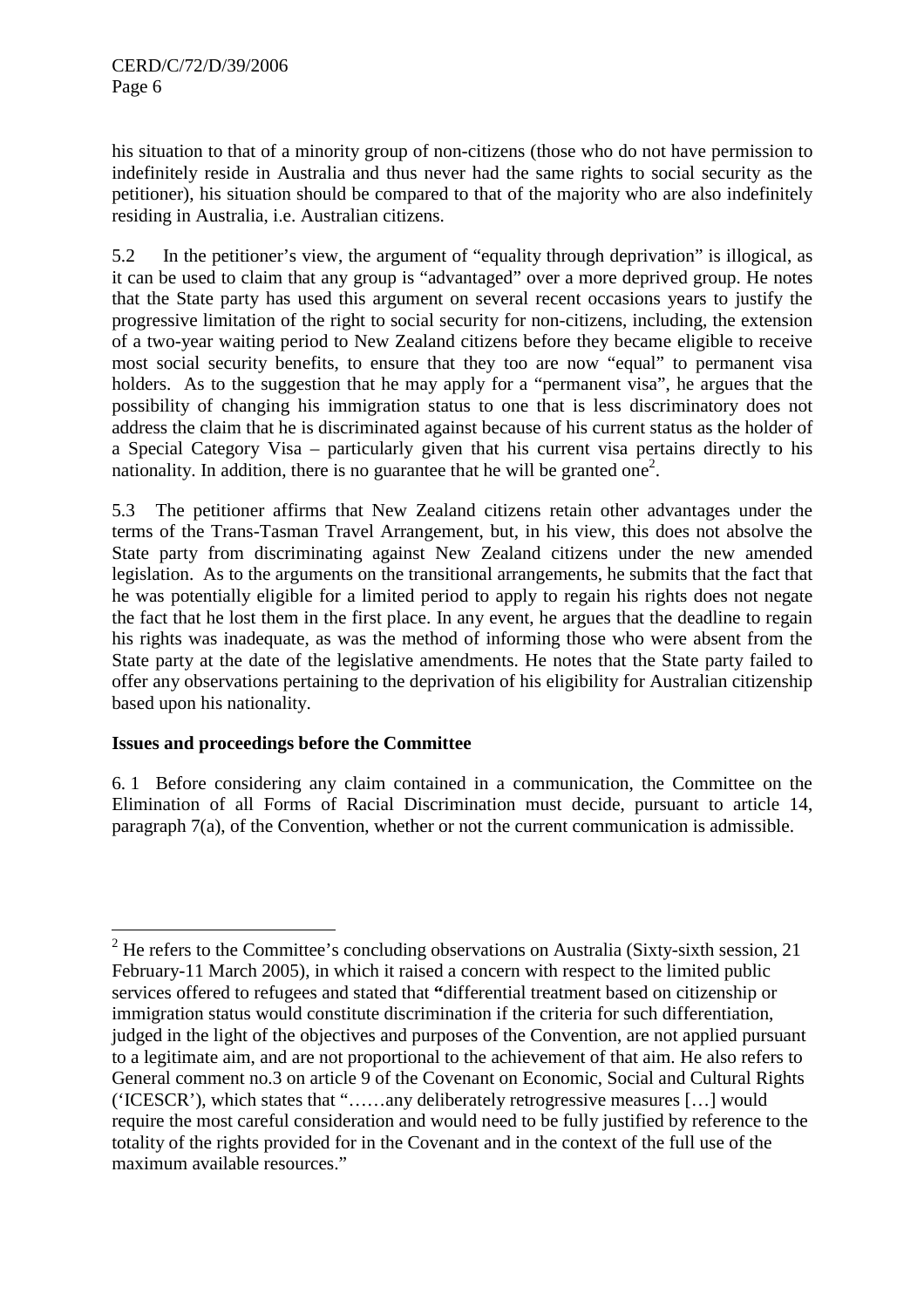his situation to that of a minority group of non-citizens (those who do not have permission to indefinitely reside in Australia and thus never had the same rights to social security as the petitioner), his situation should be compared to that of the majority who are also indefinitely residing in Australia, i.e. Australian citizens.

5.2 In the petitioner's view, the argument of "equality through deprivation" is illogical, as it can be used to claim that any group is "advantaged" over a more deprived group. He notes that the State party has used this argument on several recent occasions years to justify the progressive limitation of the right to social security for non-citizens, including, the extension of a two-year waiting period to New Zealand citizens before they became eligible to receive most social security benefits, to ensure that they too are now "equal" to permanent visa holders. As to the suggestion that he may apply for a "permanent visa", he argues that the possibility of changing his immigration status to one that is less discriminatory does not address the claim that he is discriminated against because of his current status as the holder of a Special Category Visa – particularly given that his current visa pertains directly to his nationality. In addition, there is no guarantee that he will be granted one<sup>2</sup>.

5.3 The petitioner affirms that New Zealand citizens retain other advantages under the terms of the Trans-Tasman Travel Arrangement, but, in his view, this does not absolve the State party from discriminating against New Zealand citizens under the new amended legislation. As to the arguments on the transitional arrangements, he submits that the fact that he was potentially eligible for a limited period to apply to regain his rights does not negate the fact that he lost them in the first place. In any event, he argues that the deadline to regain his rights was inadequate, as was the method of informing those who were absent from the State party at the date of the legislative amendments. He notes that the State party failed to offer any observations pertaining to the deprivation of his eligibility for Australian citizenship based upon his nationality.

#### **Issues and proceedings before the Committee**

6. 1 Before considering any claim contained in a communication, the Committee on the Elimination of all Forms of Racial Discrimination must decide, pursuant to article 14, paragraph 7(a), of the Convention, whether or not the current communication is admissible.

<sup>&</sup>lt;sup>2</sup> He refers to the Committee's concluding observations on Australia (Sixty-sixth session, 21) February-11 March 2005), in which it raised a concern with respect to the limited public services offered to refugees and stated that **"**differential treatment based on citizenship or immigration status would constitute discrimination if the criteria for such differentiation, judged in the light of the objectives and purposes of the Convention, are not applied pursuant to a legitimate aim, and are not proportional to the achievement of that aim. He also refers to General comment no.3 on article 9 of the Covenant on Economic, Social and Cultural Rights ('ICESCR'), which states that "……any deliberately retrogressive measures […] would require the most careful consideration and would need to be fully justified by reference to the totality of the rights provided for in the Covenant and in the context of the full use of the maximum available resources."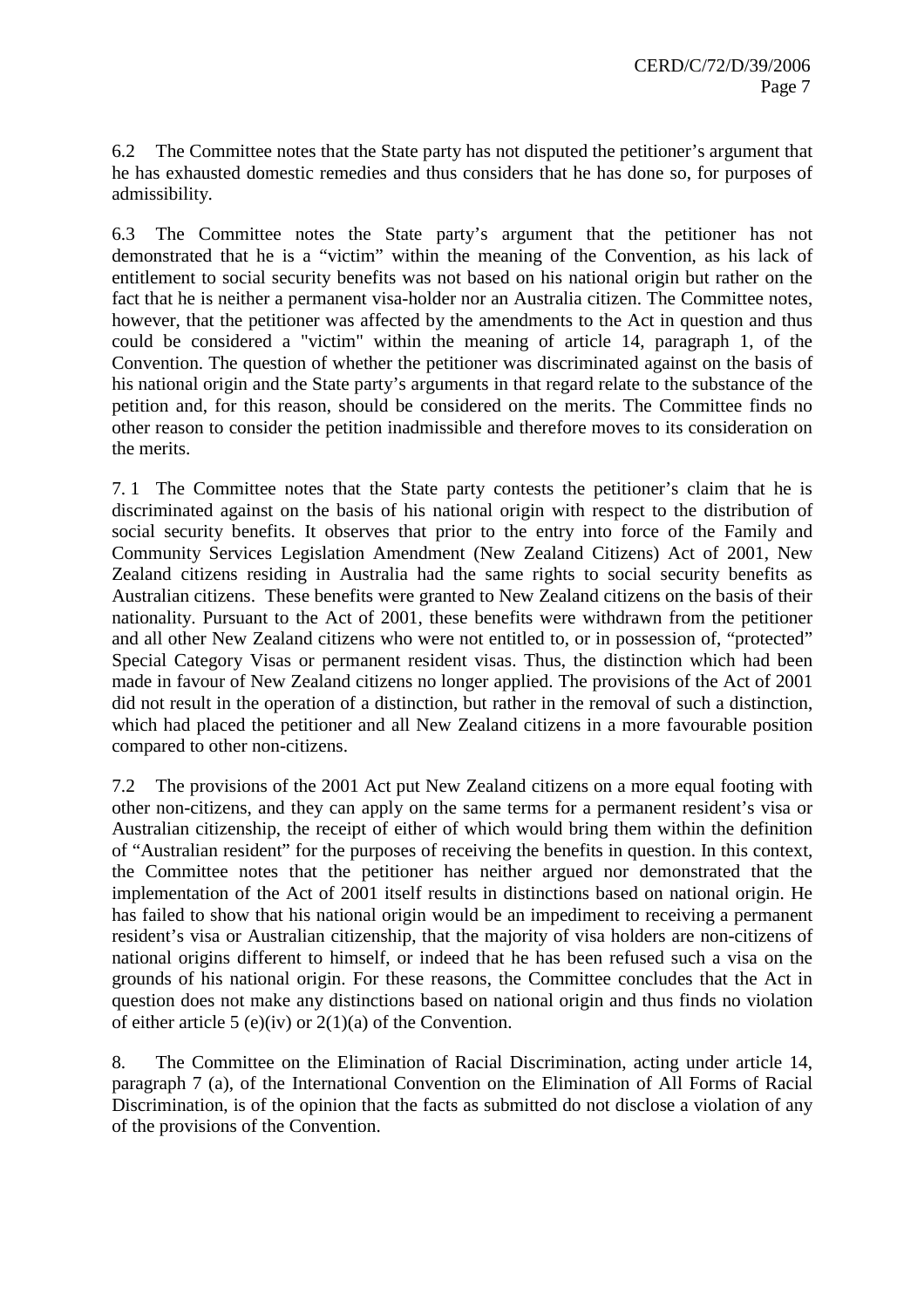6.2 The Committee notes that the State party has not disputed the petitioner's argument that he has exhausted domestic remedies and thus considers that he has done so, for purposes of admissibility.

6.3 The Committee notes the State party's argument that the petitioner has not demonstrated that he is a "victim" within the meaning of the Convention, as his lack of entitlement to social security benefits was not based on his national origin but rather on the fact that he is neither a permanent visa-holder nor an Australia citizen. The Committee notes, however, that the petitioner was affected by the amendments to the Act in question and thus could be considered a "victim" within the meaning of article 14, paragraph 1, of the Convention. The question of whether the petitioner was discriminated against on the basis of his national origin and the State party's arguments in that regard relate to the substance of the petition and, for this reason, should be considered on the merits. The Committee finds no other reason to consider the petition inadmissible and therefore moves to its consideration on the merits.

7. 1 The Committee notes that the State party contests the petitioner's claim that he is discriminated against on the basis of his national origin with respect to the distribution of social security benefits. It observes that prior to the entry into force of the Family and Community Services Legislation Amendment (New Zealand Citizens) Act of 2001, New Zealand citizens residing in Australia had the same rights to social security benefits as Australian citizens. These benefits were granted to New Zealand citizens on the basis of their nationality. Pursuant to the Act of 2001, these benefits were withdrawn from the petitioner and all other New Zealand citizens who were not entitled to, or in possession of, "protected" Special Category Visas or permanent resident visas. Thus, the distinction which had been made in favour of New Zealand citizens no longer applied. The provisions of the Act of 2001 did not result in the operation of a distinction, but rather in the removal of such a distinction, which had placed the petitioner and all New Zealand citizens in a more favourable position compared to other non-citizens.

7.2 The provisions of the 2001 Act put New Zealand citizens on a more equal footing with other non-citizens, and they can apply on the same terms for a permanent resident's visa or Australian citizenship, the receipt of either of which would bring them within the definition of "Australian resident" for the purposes of receiving the benefits in question. In this context, the Committee notes that the petitioner has neither argued nor demonstrated that the implementation of the Act of 2001 itself results in distinctions based on national origin. He has failed to show that his national origin would be an impediment to receiving a permanent resident's visa or Australian citizenship, that the majority of visa holders are non-citizens of national origins different to himself, or indeed that he has been refused such a visa on the grounds of his national origin. For these reasons, the Committee concludes that the Act in question does not make any distinctions based on national origin and thus finds no violation of either article 5 (e)(iv) or  $2(1)(a)$  of the Convention.

8. The Committee on the Elimination of Racial Discrimination, acting under article 14, paragraph 7 (a), of the International Convention on the Elimination of All Forms of Racial Discrimination, is of the opinion that the facts as submitted do not disclose a violation of any of the provisions of the Convention.